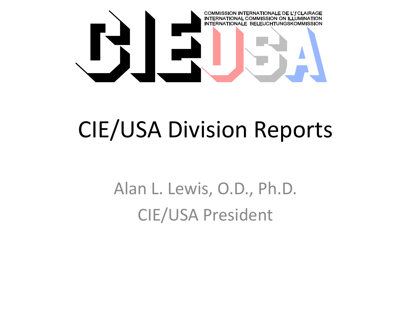

## CIE/USA Division Reports

Alan L. Lewis, O.D., Ph.D. CIE/USA President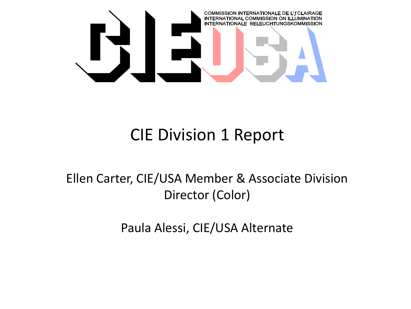

#### CIE Division 1 Report

Ellen Carter, CIE/USA Member & Associate Division Director (Color)

Paula Alessi, CIE/USA Alternate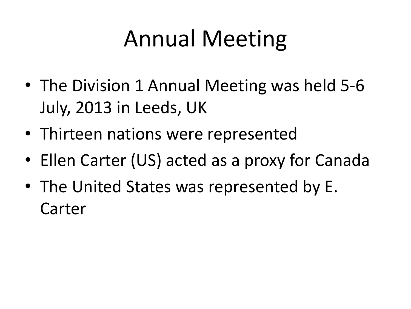# Annual Meeting

- The Division 1 Annual Meeting was held 5-6 July, 2013 in Leeds, UK
- Thirteen nations were represented
- Ellen Carter (US) acted as a proxy for Canada
- The United States was represented by E. Carter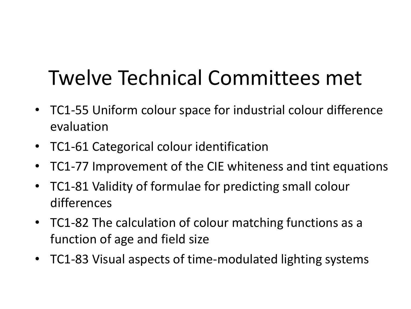## Twelve Technical Committees met

- TC1-55 Uniform colour space for industrial colour difference evaluation
- TC1-61 Categorical colour identification
- TC1-77 Improvement of the CIE whiteness and tint equations
- TC1-81 Validity of formulae for predicting small colour differences
- TC1-82 The calculation of colour matching functions as a function of age and field size
- TC1-83 Visual aspects of time-modulated lighting systems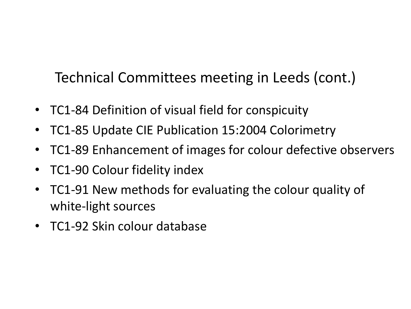Technical Committees meeting in Leeds (cont.)

- TC1-84 Definition of visual field for conspicuity
- TC1-85 Update CIE Publication 15:2004 Colorimetry
- TC1-89 Enhancement of images for colour defective observers
- TC1-90 Colour fidelity index
- TC1-91 New methods for evaluating the colour quality of white-light sources
- TC1-92 Skin colour database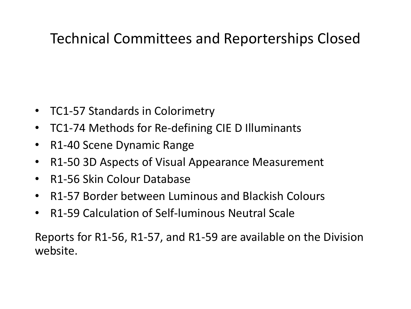#### Technical Committees and Reporterships Closed

- TC1-57 Standards in Colorimetry
- TC1-74 Methods for Re-defining CIE D Illuminants
- R1-40 Scene Dynamic Range
- R1-50 3D Aspects of Visual Appearance Measurement
- R1-56 Skin Colour Database
- R1-57 Border between Luminous and Blackish Colours
- R1-59 Calculation of Self-luminous Neutral Scale

Reports for R1-56, R1-57, and R1-59 are available on the Division website.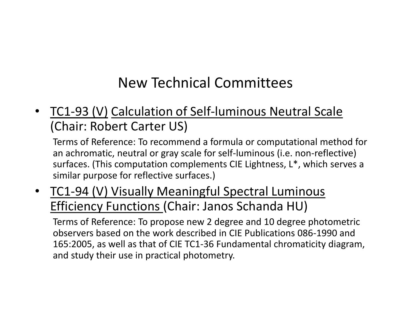#### New Technical Committees

• TC1-93 (V) Calculation of Self-luminous Neutral Scale (Chair: Robert Carter US)

Terms of Reference: To recommend a formula or computational method for an achromatic, neutral or gray scale for self-luminous (i.e. non-reflective) surfaces. (This computation complements CIE Lightness, L\*, which serves a similar purpose for reflective surfaces.)

• TC1-94 (V) Visually Meaningful Spectral Luminous Efficiency Functions (Chair: Janos Schanda HU)

Terms of Reference: To propose new 2 degree and 10 degree photometric observers based on the work described in CIE Publications 086-1990 and 165:2005, as well as that of CIE TC1-36 Fundamental chromaticity diagram, and study their use in practical photometry.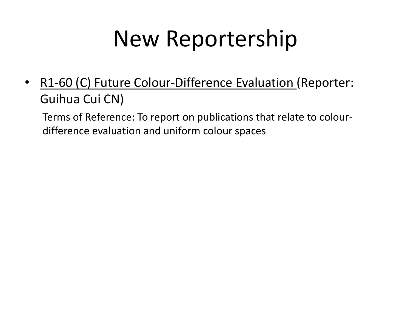## New Reportership

• R1-60 (C) Future Colour-Difference Evaluation (Reporter: Guihua Cui CN)

Terms of Reference: To report on publications that relate to colourdifference evaluation and uniform colour spaces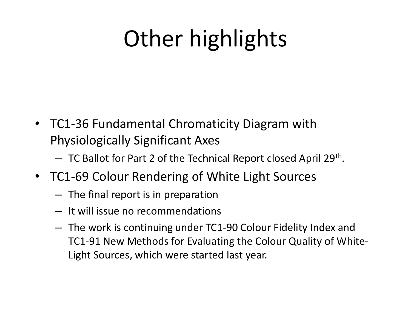# Other highlights

- TC1-36 Fundamental Chromaticity Diagram with Physiologically Significant Axes
	- TC Ballot for Part 2 of the Technical Report closed April 29<sup>th</sup>.
- TC1-69 Colour Rendering of White Light Sources
	- The final report is in preparation
	- It will issue no recommendations
	- The work is continuing under TC1-90 Colour Fidelity Index and TC1-91 New Methods for Evaluating the Colour Quality of White-Light Sources, which were started last year.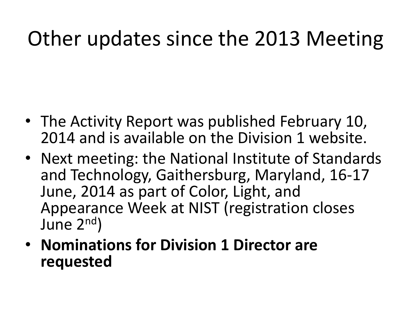### Other updates since the 2013 Meeting

- The Activity Report was published February 10, 2014 and is available on the Division 1 website.
- Next meeting: the National Institute of Standards and Technology, Gaithersburg, Maryland, 16-17 June, 2014 as part of Color, Light, and Appearance Week at NIST (registration closes June 2nd)
- **Nominations for Division 1 Director are requested**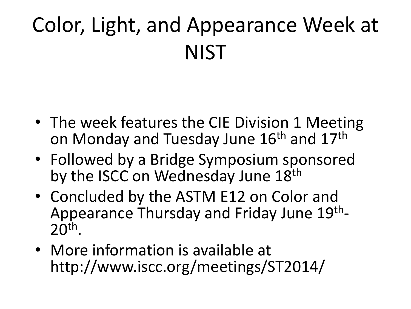## Color, Light, and Appearance Week at **NIST**

- The week features the CIE Division 1 Meeting on Monday and Tuesday June 16<sup>th</sup> and 17<sup>th</sup>
- Followed by a Bridge Symposium sponsored by the ISCC on Wednesday June 18th
- Concluded by the ASTM E12 on Color and Appearance Thursday and Friday June 19<sup>th</sup>- $20<sup>th</sup>$ .
- More information is available at http://www.iscc.org/meetings/ST2014/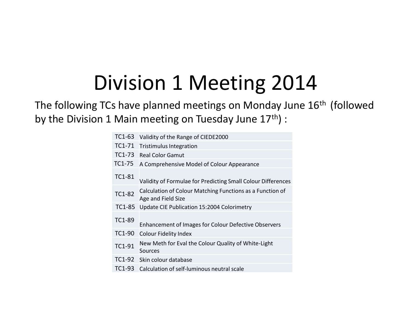### Division 1 Meeting 2014

The following TCs have planned meetings on Monday June 16<sup>th</sup> (followed by the Division 1 Main meeting on Tuesday June 17th) :

| TC1-63        | Validity of the Range of CIEDE2000                                              |
|---------------|---------------------------------------------------------------------------------|
| TC1-71        | <b>Tristimulus Integration</b>                                                  |
| TC1-73        | <b>Real Color Gamut</b>                                                         |
| TC1-75        | A Comprehensive Model of Colour Appearance                                      |
| TC1-81        | Validity of Formulae for Predicting Small Colour Differences                    |
| <b>TC1-82</b> | Calculation of Colour Matching Functions as a Function of<br>Age and Field Size |
| TC1-85        | Update CIE Publication 15:2004 Colorimetry                                      |
| TC1-89        | Enhancement of Images for Colour Defective Observers                            |
| TC1-90        | <b>Colour Fidelity Index</b>                                                    |
| TC1-91        | New Meth for Eval the Colour Quality of White-Light<br>Sources                  |
| TC1-92        | Skin colour database                                                            |
| $TC1-93$      | Calculation of self-luminous neutral scale                                      |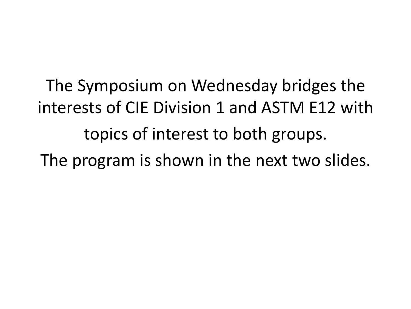The Symposium on Wednesday bridges the interests of CIE Division 1 and ASTM E12 with topics of interest to both groups. The program is shown in the next two slides.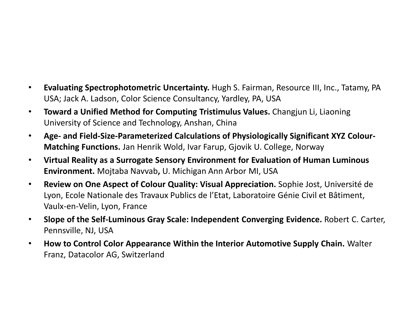- **Evaluating Spectrophotometric Uncertainty.** Hugh S. Fairman, Resource III, Inc., Tatamy, PA USA; Jack A. Ladson, Color Science Consultancy, Yardley, PA, USA
- **Toward a Unified Method for Computing Tristimulus Values.** Changjun Li, Liaoning University of Science and Technology, Anshan, China
- **Age- and Field-Size-Parameterized Calculations of Physiologically Significant XYZ Colour-Matching Functions.** Jan Henrik Wold, Ivar Farup, Gjovik U. College, Norway
- **Virtual Reality as a Surrogate Sensory Environment for Evaluation of Human Luminous Environment.** Mojtaba Navvab**,** U. Michigan Ann Arbor MI, USA
- **Review on One Aspect of Colour Quality: Visual Appreciation.** Sophie Jost, Université de Lyon, Ecole Nationale des Travaux Publics de l'Etat, Laboratoire Génie Civil et Bâtiment, Vaulx-en-Velin, Lyon, France
- **Slope of the Self-Luminous Gray Scale: Independent Converging Evidence.** Robert C. Carter, Pennsville, NJ, USA
- **How to Control Color Appearance Within the Interior Automotive Supply Chain.** Walter Franz, Datacolor AG, Switzerland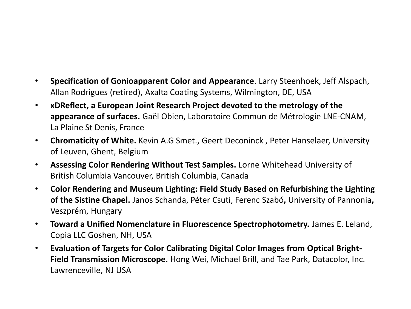- **Specification of Gonioapparent Color and Appearance**. Larry Steenhoek, Jeff Alspach, Allan Rodrigues (retired), Axalta Coating Systems, Wilmington, DE, USA
- **xDReflect, a European Joint Research Project devoted to the metrology of the appearance of surfaces.** Gaël Obien, Laboratoire Commun de Métrologie LNE-CNAM, La Plaine St Denis, France
- **Chromaticity of White.** Kevin A.G Smet., Geert Deconinck , Peter Hanselaer, University of Leuven, Ghent, Belgium
- **Assessing Color Rendering Without Test Samples.** Lorne Whitehead University of British Columbia Vancouver, British Columbia, Canada
- **Color Rendering and Museum Lighting: Field Study Based on Refurbishing the Lighting of the Sistine Chapel.** Janos Schanda, Péter Csuti, Ferenc Szabó**,** University of Pannonia**,**  Veszprém, Hungary
- **Toward a Unified Nomenclature in Fluorescence Spectrophotometry.** James E. Leland, Copia LLC Goshen, NH, USA
- **Evaluation of Targets for Color Calibrating Digital Color Images from Optical Bright-Field Transmission Microscope.** Hong Wei, Michael Brill, and Tae Park, Datacolor, Inc. Lawrenceville, NJ USA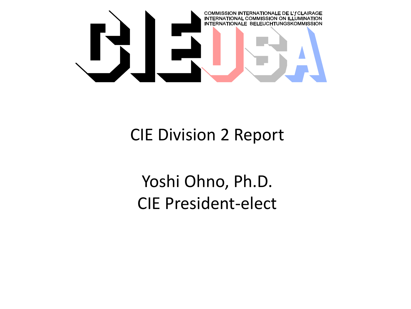

#### CIE Division 2 Report

Yoshi Ohno, Ph.D. CIE President-elect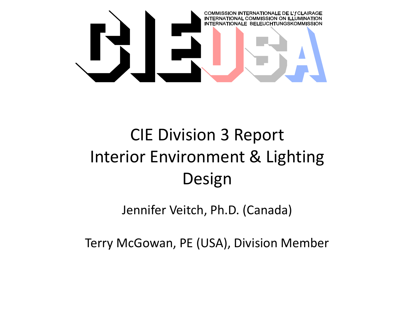

#### CIE Division 3 Report Interior Environment & Lighting Design

Jennifer Veitch, Ph.D. (Canada)

Terry McGowan, PE (USA), Division Member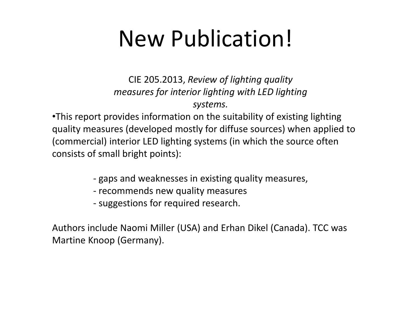## New Publication!

CIE 205.2013, *Review of lighting quality measures for interior lighting with LED lighting systems.*

•This report provides information on the suitability of existing lighting quality measures (developed mostly for diffuse sources) when applied to (commercial) interior LED lighting systems (in which the source often consists of small bright points):

- ‐ gaps and weaknesses in existing quality measures,
- ‐ recommends new quality measures
- ‐ suggestions for required research.

Authors include Naomi Miller (USA) and Erhan Dikel (Canada). TCC was Martine Knoop (Germany).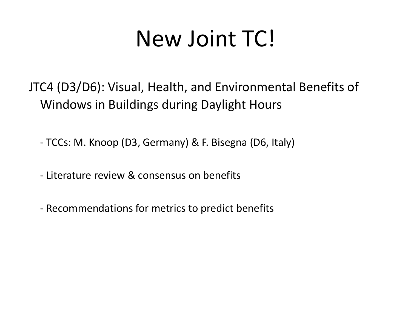## New Joint TC!

JTC4 (D3/D6): Visual, Health, and Environmental Benefits of Windows in Buildings during Daylight Hours

- TCCs: M. Knoop (D3, Germany) & F. Bisegna (D6, Italy)

‐ Literature review & consensus on benefits

‐ Recommendations for metrics to predict benefits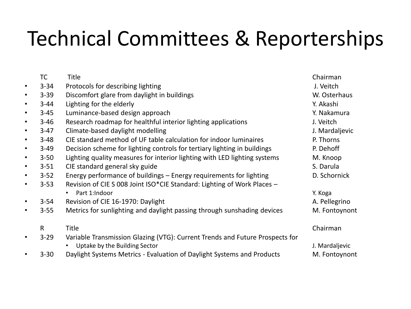## Technical Committees & Reporterships

|           | <b>TC</b>    | <b>Title</b>                                                                 | Chairman       |
|-----------|--------------|------------------------------------------------------------------------------|----------------|
| $\bullet$ | $3 - 34$     | Protocols for describing lighting                                            | J. Veitch      |
| $\bullet$ | $3 - 39$     | Discomfort glare from daylight in buildings                                  | W. Osterhaus   |
| $\bullet$ | $3 - 44$     | Lighting for the elderly                                                     | Y. Akashi      |
| $\bullet$ | $3 - 45$     | Luminance-based design approach                                              | Y. Nakamura    |
| $\bullet$ | $3 - 46$     | Research roadmap for healthful interior lighting applications                | J. Veitch      |
| $\bullet$ | $3-47$       | Climate-based daylight modelling                                             | J. Mardaljevic |
| $\bullet$ | $3 - 48$     | CIE standard method of UF table calculation for indoor luminaires            | P. Thorns      |
| $\bullet$ | $3 - 49$     | Decision scheme for lighting controls for tertiary lighting in buildings     | P. Dehoff      |
| $\bullet$ | $3 - 50$     | Lighting quality measures for interior lighting with LED lighting systems    | M. Knoop       |
| $\bullet$ | $3 - 51$     | CIE standard general sky guide                                               | S. Darula      |
| $\bullet$ | $3 - 52$     | Energy performance of buildings – Energy requirements for lighting           | D. Schornick   |
| $\bullet$ | $3 - 53$     | Revision of CIE S 008 Joint ISO*CIE Standard: Lighting of Work Places -      |                |
|           |              | Part 1:Indoor<br>$\bullet$                                                   | Y. Koga        |
| $\bullet$ | $3 - 54$     | Revision of CIE 16-1970: Daylight                                            | A. Pellegrino  |
| $\bullet$ | $3 - 55$     | Metrics for sunlighting and daylight passing through sunshading devices      | M. Fontoynont  |
|           | $\mathsf{R}$ | <b>Title</b>                                                                 | Chairman       |
| $\bullet$ | $3 - 29$     | Variable Transmission Glazing (VTG): Current Trends and Future Prospects for |                |
|           |              | Uptake by the Building Sector                                                | J. Mardaljevic |
| $\bullet$ | $3 - 30$     | Daylight Systems Metrics - Evaluation of Daylight Systems and Products       | M. Fontoynont  |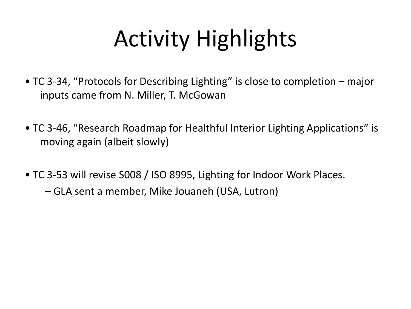# Activity Highlights

- TC 3‐34, "Protocols for Describing Lighting" is close to completion major inputs came from N. Miller, T. McGowan
- TC 3‐46, "Research Roadmap for Healthful Interior Lighting Applications" is moving again (albeit slowly)
- TC 3‐53 will revise S008 / ISO 8995, Lighting for Indoor Work Places.
	- GLA sent a member, Mike Jouaneh (USA, Lutron)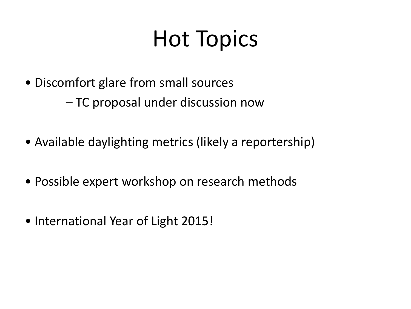# Hot Topics

- Discomfort glare from small sources
	- TC proposal under discussion now
- Available daylighting metrics (likely a reportership)
- Possible expert workshop on research methods
- International Year of Light 2015!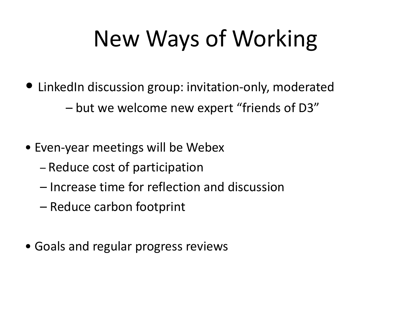# New Ways of Working

- LinkedIn discussion group: invitation-only, moderated
	- but we welcome new expert "friends of D3"
- Even‐year meetings will be Webex
	- Reduce cost of participation
	- Increase time for reflection and discussion
	- Reduce carbon footprint
- Goals and regular progress reviews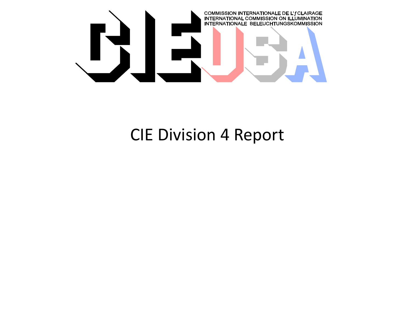

#### CIE Division 4 Report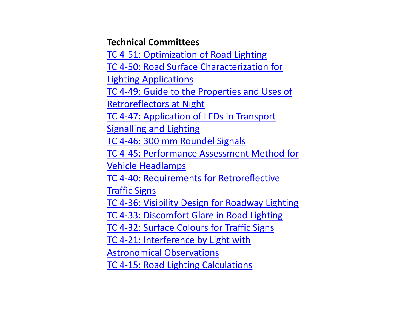#### **Technical Committees**

[TC 4-51: Optimization of Road Lighting](http://div4.cie.co.at/?i_ca_id=585&pubid=415) [TC 4-50: Road Surface Characterization for](http://div4.cie.co.at/?i_ca_id=585&pubid=414)  [Lighting Applications](http://div4.cie.co.at/?i_ca_id=585&pubid=414) [TC 4-49: Guide to the Properties and Uses of](http://div4.cie.co.at/?i_ca_id=585&pubid=413)  [Retroreflectors](http://div4.cie.co.at/?i_ca_id=585&pubid=413) [at Night](http://div4.cie.co.at/?i_ca_id=585&pubid=413) [TC 4-47: Application of LEDs in Transport](http://div4.cie.co.at/?i_ca_id=585&pubid=293)  [Signalling](http://div4.cie.co.at/?i_ca_id=585&pubid=293) [and Lighting](http://div4.cie.co.at/?i_ca_id=585&pubid=293)  [TC 4-46: 300 mm Roundel Signals](http://div4.cie.co.at/?i_ca_id=585&pubid=292)  [TC 4-45: Performance Assessment Method for](http://div4.cie.co.at/?i_ca_id=585&pubid=422)  [Vehicle Headlamps](http://div4.cie.co.at/?i_ca_id=585&pubid=422) [TC 4-40: Requirements for Retroreflective](http://div4.cie.co.at/?i_ca_id=585&pubid=288) **Traffic Signs** [TC 4-36: Visibility Design for Roadway Lighting](http://div4.cie.co.at/?i_ca_id=585&pubid=287)  [TC 4-33: Discomfort Glare in Road Lighting](http://div4.cie.co.at/?i_ca_id=585&pubid=286)  [TC 4-32: Surface Colours](http://div4.cie.co.at/?i_ca_id=585&pubid=285) [for Traffic Signs](http://div4.cie.co.at/?i_ca_id=585&pubid=285)  [TC 4-21: Interference by Light with](http://div4.cie.co.at/?i_ca_id=585&pubid=282)  [Astronomical Observations](http://div4.cie.co.at/?i_ca_id=585&pubid=282)  [TC 4-15: Road Lighting Calculations](http://div4.cie.co.at/?i_ca_id=585&pubid=280)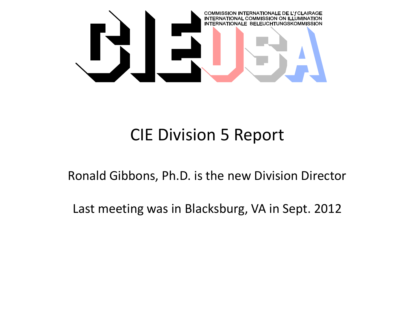

#### CIE Division 5 Report

Ronald Gibbons, Ph.D. is the new Division Director

Last meeting was in Blacksburg, VA in Sept. 2012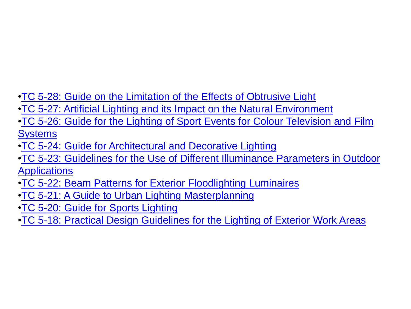- [•TC 5-28: Guide on the Limitation of the Effects of Obtrusive Light](http://div5.cie.co.at/?i_ca_id=597&pubid=302)
- [•TC 5-27: Artificial Lighting and its Impact on the Natural Environment](http://div5.cie.co.at/?i_ca_id=597&pubid=301)
- [•TC 5-26: Guide for the Lighting of Sport Events for Colour](http://div5.cie.co.at/?i_ca_id=597&pubid=352) [Television and Film](http://div5.cie.co.at/?i_ca_id=597&pubid=352)  **Systems**
- [•TC 5-24: Guide for Architectural and Decorative Lighting](http://div5.cie.co.at/?i_ca_id=597&pubid=300)
- [•TC 5-23: Guidelines for the Use of Different Illuminance Parameters in Outdoor](http://div5.cie.co.at/?i_ca_id=597&pubid=299)  **Applications**
- [•TC 5-22: Beam Patterns for Exterior Floodlighting Luminaires](http://div5.cie.co.at/?i_ca_id=597&pubid=298)
- [•TC 5-21: A Guide to Urban Lighting Masterplanning](http://div5.cie.co.at/?i_ca_id=597&pubid=297)
- [•TC 5-20: Guide for Sports Lighting](http://div5.cie.co.at/?i_ca_id=597&pubid=296)
- [•TC 5-18: Practical Design Guidelines for the Lighting of Exterior Work Areas](http://div5.cie.co.at/?i_ca_id=597&pubid=295)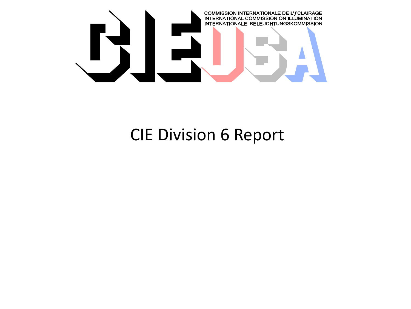

#### CIE Division 6 Report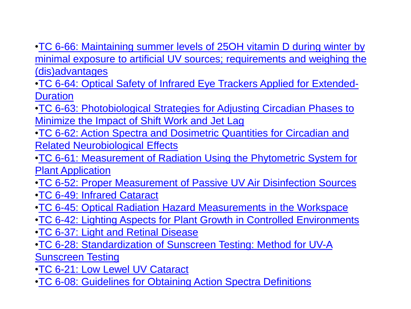- [•TC 6-66: Maintaining summer levels of 25OH vitamin D during winter by](http://div6.cie.co.at/?i_ca_id=609&pubid=463)  [minimal exposure to artificial UV sources;](http://div6.cie.co.at/?i_ca_id=609&pubid=463) [requirements and weighing the](http://div6.cie.co.at/?i_ca_id=609&pubid=463)  [\(dis\)advantages](http://div6.cie.co.at/?i_ca_id=609&pubid=463)
- [•TC 6-64: Optical Safety of Infrared Eye Trackers Applied for Extended-](http://div6.cie.co.at/?i_ca_id=609&pubid=333)**Duration**
- [•TC 6-63: Photobiological](http://div6.cie.co.at/?i_ca_id=609&pubid=332) [Strategies for Adjusting Circadian Phases to](http://div6.cie.co.at/?i_ca_id=609&pubid=332)  [Minimize the Impact of Shift Work and Jet Lag](http://div6.cie.co.at/?i_ca_id=609&pubid=332)
- [•TC 6-62: Action Spectra and Dosimetric](http://div6.cie.co.at/?i_ca_id=609&pubid=331) [Quantities for Circadian and](http://div6.cie.co.at/?i_ca_id=609&pubid=331)  [Related Neurobiological Effects](http://div6.cie.co.at/?i_ca_id=609&pubid=331)
- [•TC 6-61: Measurement of Radiation Using the Phytometric](http://div6.cie.co.at/?i_ca_id=609&pubid=330) [System for](http://div6.cie.co.at/?i_ca_id=609&pubid=330)  [Plant Application](http://div6.cie.co.at/?i_ca_id=609&pubid=330)
- [•TC 6-52: Proper Measurement of Passive UV Air Disinfection Sources](http://div6.cie.co.at/?i_ca_id=609&pubid=322)
- [•TC 6-49: Infrared Cataract](http://div6.cie.co.at/?i_ca_id=609&pubid=319)
- [•TC 6-45: Optical Radiation Hazard Measurements in the Workspace](http://div6.cie.co.at/?i_ca_id=609&pubid=316)
- [•TC 6-42: Lighting Aspects for Plant Growth in Controlled Environments](http://div6.cie.co.at/?i_ca_id=609&pubid=313)
- **•TC 6-37: Light and Retinal Disease**
- [•TC 6-28: Standardization of Sunscreen Testing: Method for UV-A](http://div6.cie.co.at/?i_ca_id=609&pubid=308)  [Sunscreen Testing](http://div6.cie.co.at/?i_ca_id=609&pubid=308)
- [•TC 6-21: Low Lewel](http://div6.cie.co.at/?i_ca_id=609&pubid=306) [UV Cataract](http://div6.cie.co.at/?i_ca_id=609&pubid=306)
- [•TC 6-08: Guidelines for Obtaining Action Spectra Definitions](http://div6.cie.co.at/?i_ca_id=609&pubid=303)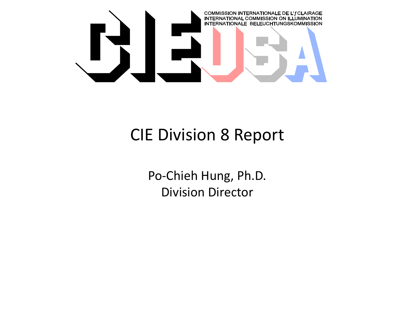

#### CIE Division 8 Report

Po-Chieh Hung, Ph.D. Division Director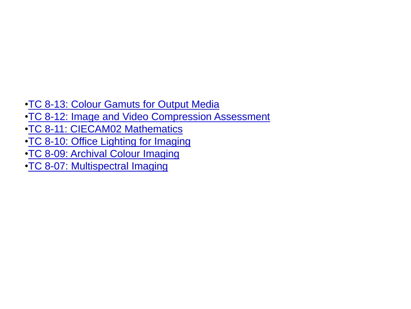- [•TC 8-13: Colour](http://div8.cie.co.at/?i_ca_id=621&pubid=458) [Gamuts](http://div8.cie.co.at/?i_ca_id=621&pubid=458) [for Output Media](http://div8.cie.co.at/?i_ca_id=621&pubid=458)
- **•TC 8-12: Image and Video Compression Assessment**
- [•TC 8-11: CIECAM02 Mathematics](http://div8.cie.co.at/?i_ca_id=621&pubid=339)
- [•TC 8-10: Office Lighting for Imaging](http://div8.cie.co.at/?i_ca_id=621&pubid=338)
- [•TC 8-09: Archival Colour](http://div8.cie.co.at/?i_ca_id=621&pubid=337) [Imaging](http://div8.cie.co.at/?i_ca_id=621&pubid=337)
- [•TC 8-07: Multispectral Imaging](http://div8.cie.co.at/?i_ca_id=621&pubid=335)